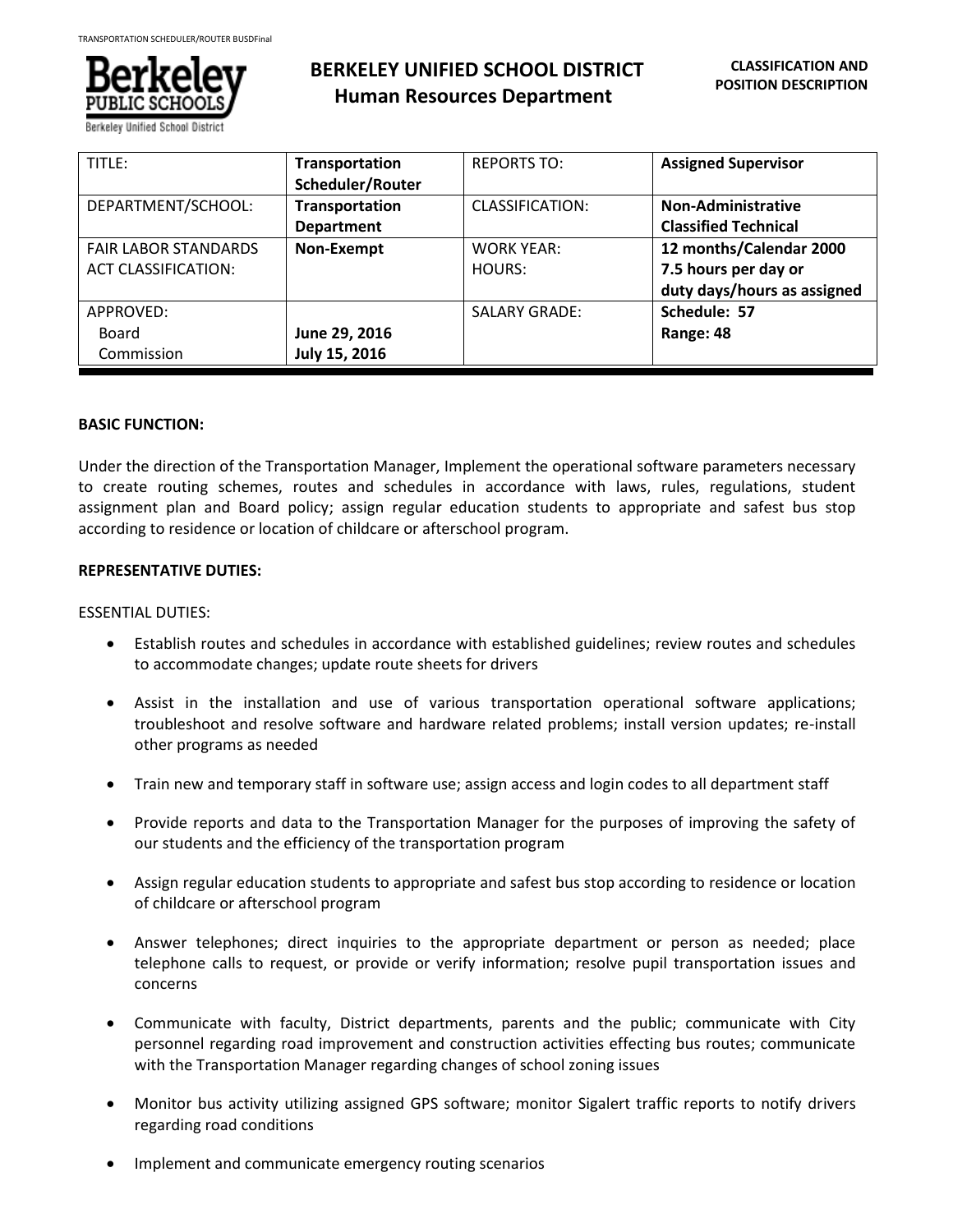

# **BERKELEY UNIFIED SCHOOL DISTRICT Human Resources Department**

| TITLE:                                                    | Transportation<br>Scheduler/Router  | <b>REPORTS TO:</b>          | <b>Assigned Supervisor</b>                                                     |
|-----------------------------------------------------------|-------------------------------------|-----------------------------|--------------------------------------------------------------------------------|
| DEPARTMENT/SCHOOL:                                        | Transportation<br><b>Department</b> | CLASSIFICATION:             | Non-Administrative<br><b>Classified Technical</b>                              |
| <b>FAIR LABOR STANDARDS</b><br><b>ACT CLASSIFICATION:</b> | Non-Exempt                          | <b>WORK YEAR:</b><br>HOURS: | 12 months/Calendar 2000<br>7.5 hours per day or<br>duty days/hours as assigned |
| APPROVED:<br>Board<br>Commission                          | June 29, 2016<br>July 15, 2016      | <b>SALARY GRADE:</b>        | Schedule: 57<br>Range: 48                                                      |

# **BASIC FUNCTION:**

Under the direction of the Transportation Manager, Implement the operational software parameters necessary to create routing schemes, routes and schedules in accordance with laws, rules, regulations, student assignment plan and Board policy; assign regular education students to appropriate and safest bus stop according to residence or location of childcare or afterschool program.

# **REPRESENTATIVE DUTIES:**

# ESSENTIAL DUTIES:

- Establish routes and schedules in accordance with established guidelines; review routes and schedules to accommodate changes; update route sheets for drivers
- Assist in the installation and use of various transportation operational software applications; troubleshoot and resolve software and hardware related problems; install version updates; re-install other programs as needed
- Train new and temporary staff in software use; assign access and login codes to all department staff
- Provide reports and data to the Transportation Manager for the purposes of improving the safety of our students and the efficiency of the transportation program
- Assign regular education students to appropriate and safest bus stop according to residence or location of childcare or afterschool program
- Answer telephones; direct inquiries to the appropriate department or person as needed; place telephone calls to request, or provide or verify information; resolve pupil transportation issues and concerns
- Communicate with faculty, District departments, parents and the public; communicate with City personnel regarding road improvement and construction activities effecting bus routes; communicate with the Transportation Manager regarding changes of school zoning issues
- Monitor bus activity utilizing assigned GPS software; monitor Sigalert traffic reports to notify drivers regarding road conditions
- Implement and communicate emergency routing scenarios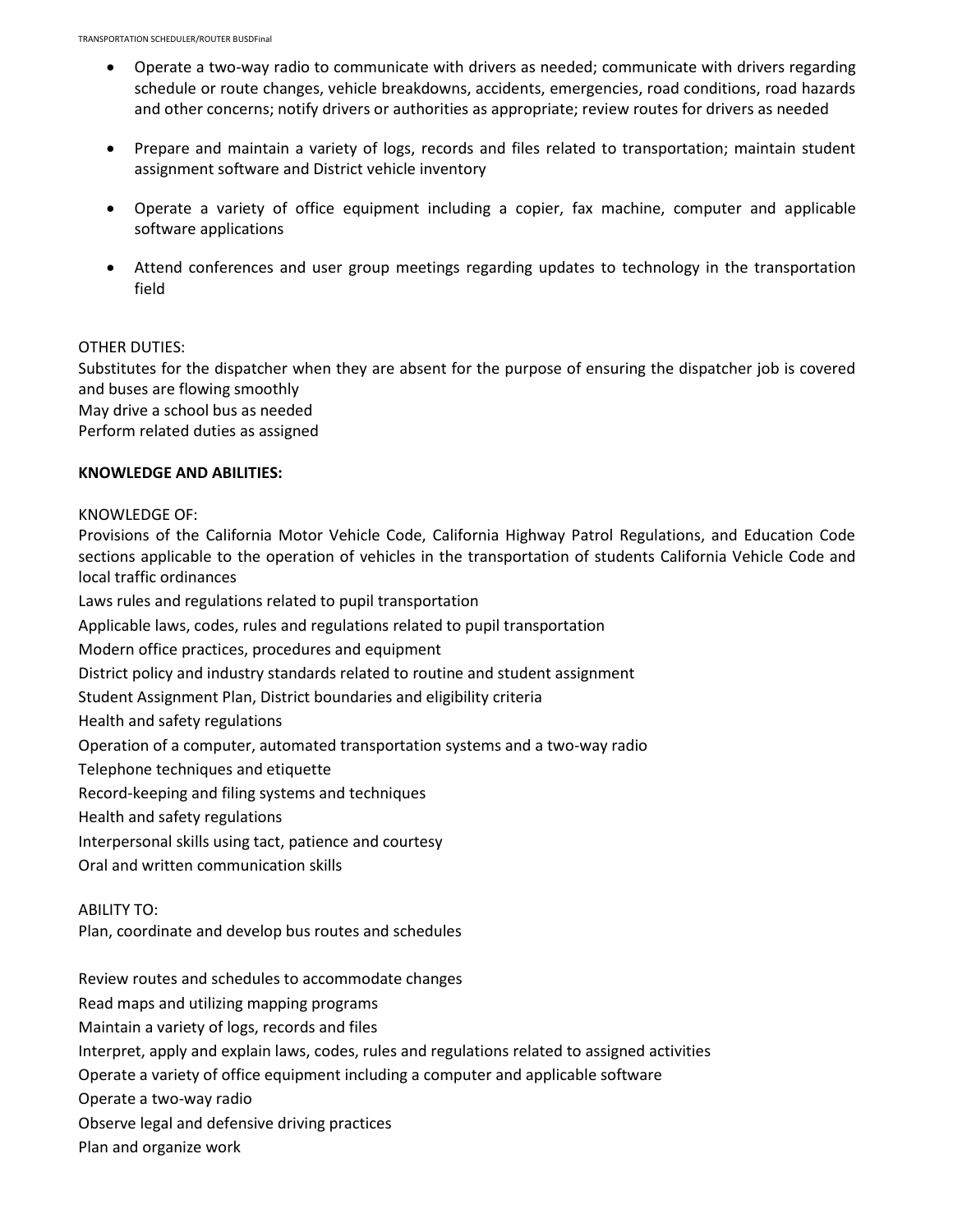- Operate a two-way radio to communicate with drivers as needed; communicate with drivers regarding schedule or route changes, vehicle breakdowns, accidents, emergencies, road conditions, road hazards and other concerns; notify drivers or authorities as appropriate; review routes for drivers as needed
- Prepare and maintain a variety of logs, records and files related to transportation; maintain student assignment software and District vehicle inventory
- Operate a variety of office equipment including a copier, fax machine, computer and applicable software applications
- Attend conferences and user group meetings regarding updates to technology in the transportation field

#### OTHER DUTIES:

Substitutes for the dispatcher when they are absent for the purpose of ensuring the dispatcher job is covered and buses are flowing smoothly

May drive a school bus as needed

Perform related duties as assigned

#### **KNOWLEDGE AND ABILITIES:**

#### KNOWLEDGE OF:

Provisions of the California Motor Vehicle Code, California Highway Patrol Regulations, and Education Code sections applicable to the operation of vehicles in the transportation of students California Vehicle Code and local traffic ordinances

Laws rules and regulations related to pupil transportation

Applicable laws, codes, rules and regulations related to pupil transportation

Modern office practices, procedures and equipment

District policy and industry standards related to routine and student assignment

Student Assignment Plan, District boundaries and eligibility criteria

Health and safety regulations

Operation of a computer, automated transportation systems and a two-way radio

Telephone techniques and etiquette

Record-keeping and filing systems and techniques

Health and safety regulations

Interpersonal skills using tact, patience and courtesy

Oral and written communication skills

ABILITY TO:

Plan, coordinate and develop bus routes and schedules

Review routes and schedules to accommodate changes

Read maps and utilizing mapping programs

Maintain a variety of logs, records and files

Interpret, apply and explain laws, codes, rules and regulations related to assigned activities

Operate a variety of office equipment including a computer and applicable software

Operate a two-way radio

Observe legal and defensive driving practices

Plan and organize work